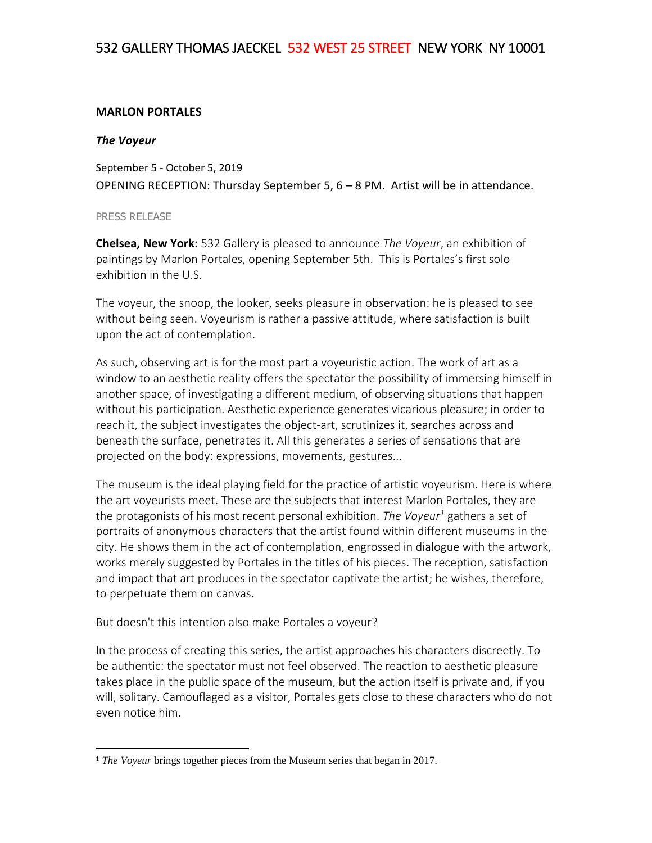## 532 GALLERY THOMAS JAECKEL 532 WEST 25 STREET NEW YORK NY 10001

## **MARLON PORTALES**

## *The Voyeur*

September 5 - October 5, 2019 OPENING RECEPTION: Thursday September 5, 6 – 8 PM. Artist will be in attendance.

## PRESS RELEASE

l

**Chelsea, New York:** 532 Gallery is pleased to announce *The Voyeur*, an exhibition of paintings by Marlon Portales, opening September 5th. This is Portales's first solo exhibition in the U.S.

The voyeur, the snoop, the looker, seeks pleasure in observation: he is pleased to see without being seen. Voyeurism is rather a passive attitude, where satisfaction is built upon the act of contemplation.

As such, observing art is for the most part a voyeuristic action. The work of art as a window to an aesthetic reality offers the spectator the possibility of immersing himself in another space, of investigating a different medium, of observing situations that happen without his participation. Aesthetic experience generates vicarious pleasure; in order to reach it, the subject investigates the object-art, scrutinizes it, searches across and beneath the surface, penetrates it. All this generates a series of sensations that are projected on the body: expressions, movements, gestures...

The museum is the ideal playing field for the practice of artistic voyeurism. Here is where the art voyeurists meet. These are the subjects that interest Marlon Portales, they are the protagonists of his most recent personal exhibition. *The Voyeur<sup>1</sup>* gathers a set of portraits of anonymous characters that the artist found within different museums in the city. He shows them in the act of contemplation, engrossed in dialogue with the artwork, works merely suggested by Portales in the titles of his pieces. The reception, satisfaction and impact that art produces in the spectator captivate the artist; he wishes, therefore, to perpetuate them on canvas.

But doesn't this intention also make Portales a voyeur?

In the process of creating this series, the artist approaches his characters discreetly. To be authentic: the spectator must not feel observed. The reaction to aesthetic pleasure takes place in the public space of the museum, but the action itself is private and, if you will, solitary. Camouflaged as a visitor, Portales gets close to these characters who do not even notice him.

<sup>&</sup>lt;sup>1</sup> *The Voyeur* brings together pieces from the Museum series that began in 2017.